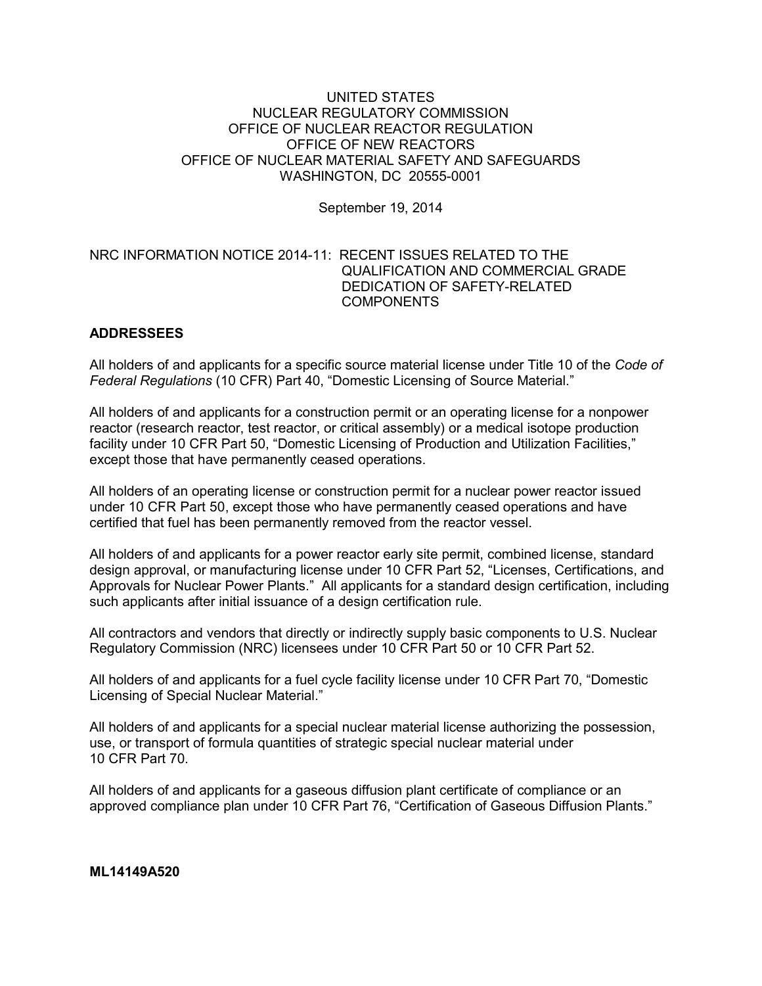## UNITED STATES NUCLEAR REGULATORY COMMISSION OFFICE OF NUCLEAR REACTOR REGULATION OFFICE OF NEW REACTORS OFFICE OF NUCLEAR MATERIAL SAFETY AND SAFEGUARDS WASHINGTON, DC 20555-0001

September 19, 2014

# NRC INFORMATION NOTICE 2014-11: RECENT ISSUES RELATED TO THE QUALIFICATION AND COMMERCIAL GRADE DEDICATION OF SAFETY-RELATED **COMPONENTS**

# **ADDRESSEES**

All holders of and applicants for a specific source material license under Title 10 of the *Code of Federal Regulations* (10 CFR) Part 40, "Domestic Licensing of Source Material."

All holders of and applicants for a construction permit or an operating license for a nonpower reactor (research reactor, test reactor, or critical assembly) or a medical isotope production facility under 10 CFR Part 50, "Domestic Licensing of Production and Utilization Facilities," except those that have permanently ceased operations.

All holders of an operating license or construction permit for a nuclear power reactor issued under 10 CFR Part 50, except those who have permanently ceased operations and have certified that fuel has been permanently removed from the reactor vessel.

All holders of and applicants for a power reactor early site permit, combined license, standard design approval, or manufacturing license under 10 CFR Part 52, "Licenses, Certifications, and Approvals for Nuclear Power Plants." All applicants for a standard design certification, including such applicants after initial issuance of a design certification rule.

All contractors and vendors that directly or indirectly supply basic components to U.S. Nuclear Regulatory Commission (NRC) licensees under 10 CFR Part 50 or 10 CFR Part 52.

All holders of and applicants for a fuel cycle facility license under 10 CFR Part 70, "Domestic Licensing of Special Nuclear Material."

All holders of and applicants for a special nuclear material license authorizing the possession, use, or transport of formula quantities of strategic special nuclear material under 10 CFR Part 70.

All holders of and applicants for a gaseous diffusion plant certificate of compliance or an approved compliance plan under 10 CFR Part 76, "Certification of Gaseous Diffusion Plants."

**ML14149A520**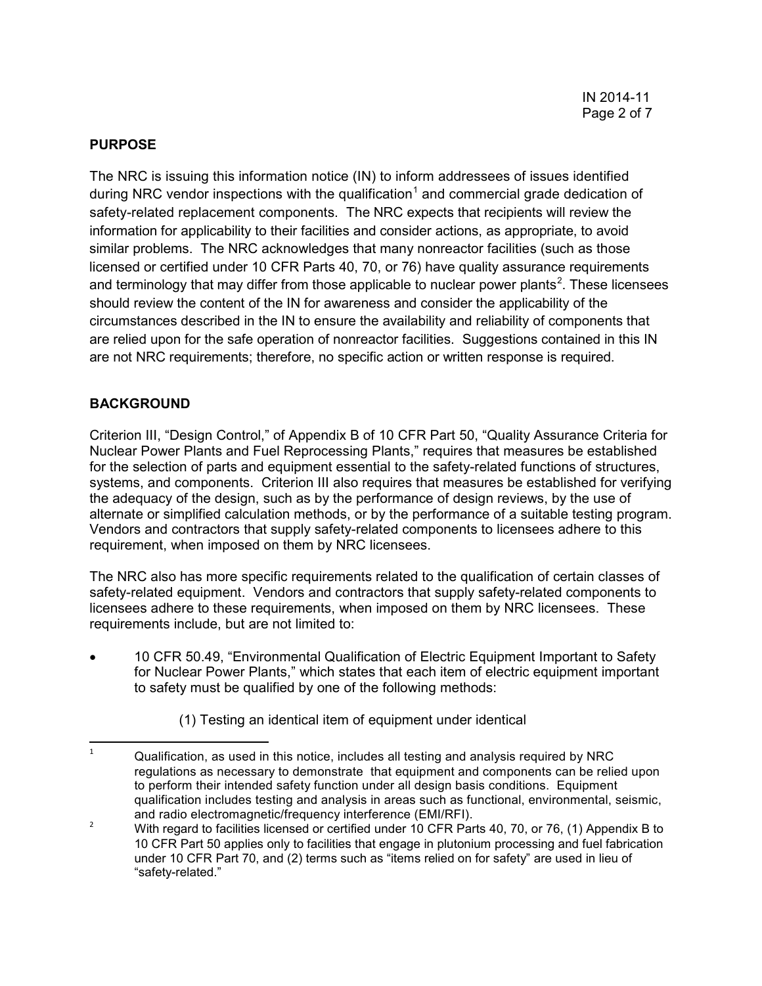## **PURPOSE**

The NRC is issuing this information notice (IN) to inform addressees of issues identified during NRC vendor inspections with the qualification<sup>[1](#page-1-0)</sup> and commercial grade dedication of safety-related replacement components. The NRC expects that recipients will review the information for applicability to their facilities and consider actions, as appropriate, to avoid similar problems. The NRC acknowledges that many nonreactor facilities (such as those licensed or certified under 10 CFR Parts 40, 70, or 76) have quality assurance requirements and terminology that may differ from those applicable to nuclear power plants<sup>[2](#page-1-1)</sup>. These licensees should review the content of the IN for awareness and consider the applicability of the circumstances described in the IN to ensure the availability and reliability of components that are relied upon for the safe operation of nonreactor facilities. Suggestions contained in this IN are not NRC requirements; therefore, no specific action or written response is required.

# **BACKGROUND**

Criterion III, "Design Control," of Appendix B of 10 CFR Part 50, "Quality Assurance Criteria for Nuclear Power Plants and Fuel Reprocessing Plants," requires that measures be established for the selection of parts and equipment essential to the safety-related functions of structures, systems, and components. Criterion III also requires that measures be established for verifying the adequacy of the design, such as by the performance of design reviews, by the use of alternate or simplified calculation methods, or by the performance of a suitable testing program. Vendors and contractors that supply safety-related components to licensees adhere to this requirement, when imposed on them by NRC licensees.

The NRC also has more specific requirements related to the qualification of certain classes of safety-related equipment. Vendors and contractors that supply safety-related components to licensees adhere to these requirements, when imposed on them by NRC licensees. These requirements include, but are not limited to:

- 10 CFR 50.49, "Environmental Qualification of Electric Equipment Important to Safety for Nuclear Power Plants," which states that each item of electric equipment important to safety must be qualified by one of the following methods:
	- (1) Testing an identical item of equipment under identical

<span id="page-1-0"></span> $1 - 1$  Qualification, as used in this notice, includes all testing and analysis required by NRC regulations as necessary to demonstrate that equipment and components can be relied upon to perform their intended safety function under all design basis conditions. Equipment qualification includes testing and analysis in areas such as functional, environmental, seismic, and radio electromagnetic/frequency interference (EMI/RFI).

<span id="page-1-1"></span><sup>&</sup>lt;sup>2</sup> With regard to facilities licensed or certified under 10 CFR Parts 40, 70, or 76, (1) Appendix B to 10 CFR Part 50 applies only to facilities that engage in plutonium processing and fuel fabrication under 10 CFR Part 70, and (2) terms such as "items relied on for safety" are used in lieu of "safety-related."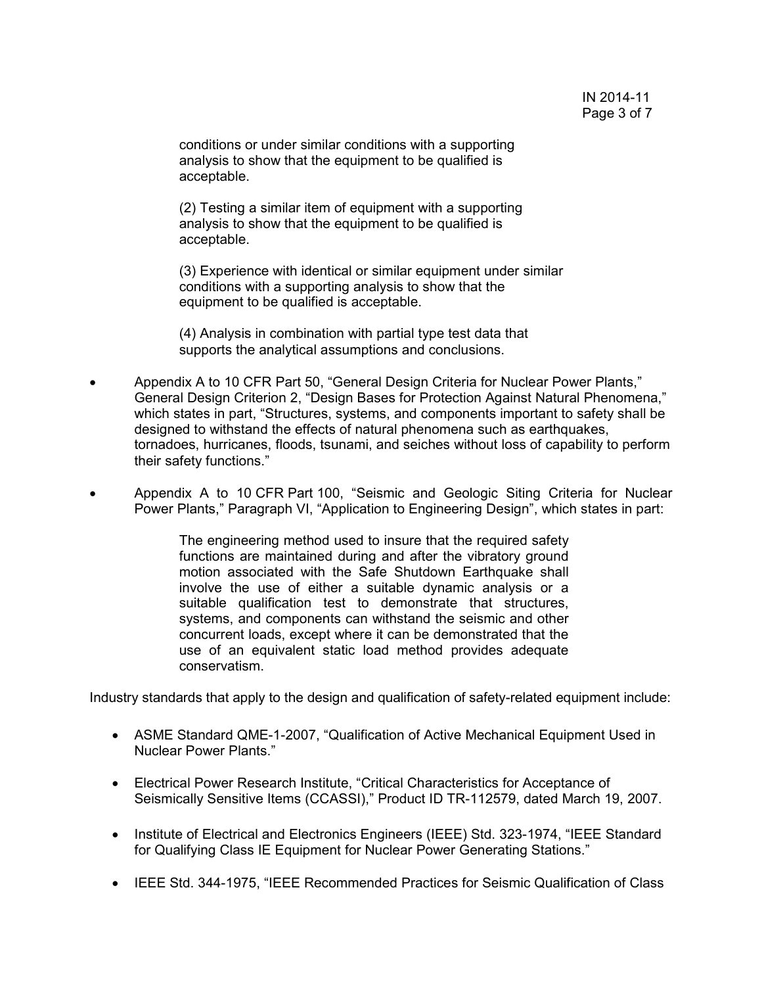conditions or under similar conditions with a supporting analysis to show that the equipment to be qualified is acceptable.

(2) Testing a similar item of equipment with a supporting analysis to show that the equipment to be qualified is acceptable.

(3) Experience with identical or similar equipment under similar conditions with a supporting analysis to show that the equipment to be qualified is acceptable.

(4) Analysis in combination with partial type test data that supports the analytical assumptions and conclusions.

- Appendix A to 10 CFR Part 50, "General Design Criteria for Nuclear Power Plants," General Design Criterion 2, "Design Bases for Protection Against Natural Phenomena," which states in part, "Structures, systems, and components important to safety shall be designed to withstand the effects of natural phenomena such as earthquakes, tornadoes, hurricanes, floods, tsunami, and seiches without loss of capability to perform their safety functions."
- Appendix A to 10 CFR Part 100, "Seismic and Geologic Siting Criteria for Nuclear Power Plants," Paragraph VI, "Application to Engineering Design", which states in part:

The engineering method used to insure that the required safety functions are maintained during and after the vibratory ground motion associated with the Safe Shutdown Earthquake shall involve the use of either a suitable dynamic analysis or a suitable qualification test to demonstrate that structures, systems, and components can withstand the seismic and other concurrent loads, except where it can be demonstrated that the use of an equivalent static load method provides adequate conservatism.

Industry standards that apply to the design and qualification of safety-related equipment include:

- ASME Standard QME-1-2007, "Qualification of Active Mechanical Equipment Used in Nuclear Power Plants."
- Electrical Power Research Institute, "Critical Characteristics for Acceptance of Seismically Sensitive Items (CCASSI)," Product ID TR-112579, dated March 19, 2007.
- Institute of Electrical and Electronics Engineers (IEEE) Std. 323-1974, "IEEE Standard for Qualifying Class IE Equipment for Nuclear Power Generating Stations."
- IEEE Std. 344-1975, "IEEE Recommended Practices for Seismic Qualification of Class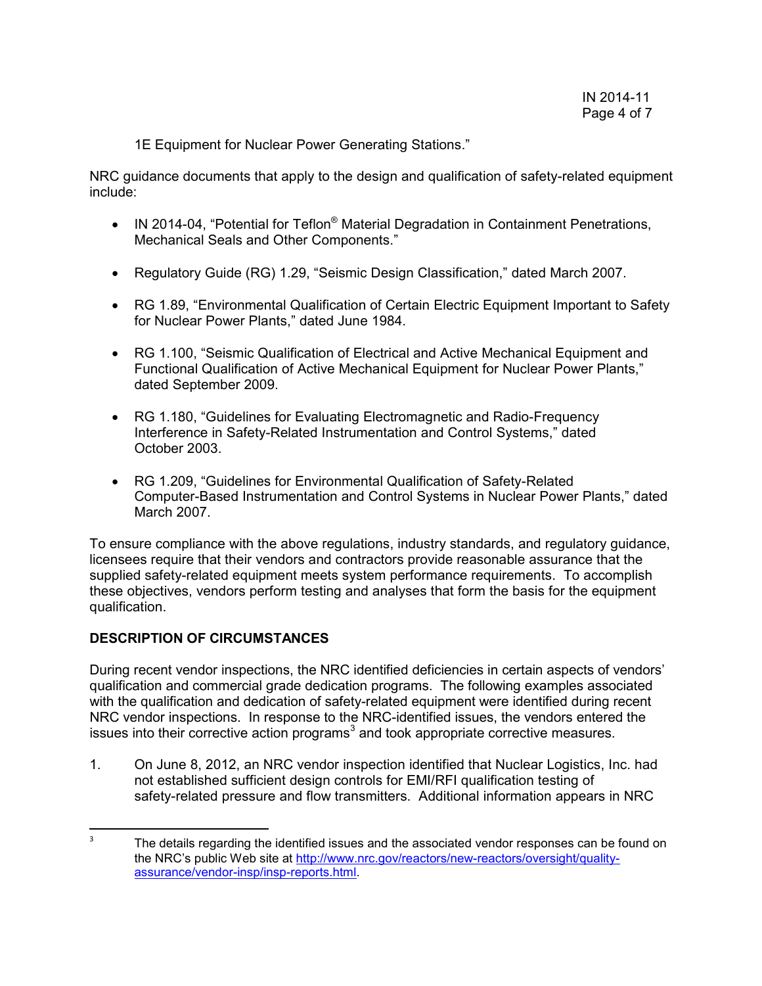1E Equipment for Nuclear Power Generating Stations."

NRC guidance documents that apply to the design and qualification of safety-related equipment include:

- IN 2014-04, "Potential for Teflon<sup>®</sup> Material Degradation in Containment Penetrations, Mechanical Seals and Other Components."
- Regulatory Guide (RG) 1.29, "Seismic Design Classification," dated March 2007.
- RG 1.89, "Environmental Qualification of Certain Electric Equipment Important to Safety for Nuclear Power Plants," dated June 1984.
- RG 1.100, "Seismic Qualification of Electrical and Active Mechanical Equipment and Functional Qualification of Active Mechanical Equipment for Nuclear Power Plants," dated September 2009.
- RG 1.180, "Guidelines for Evaluating Electromagnetic and Radio-Frequency Interference in Safety-Related Instrumentation and Control Systems," dated October 2003.
- RG 1.209, "Guidelines for Environmental Qualification of Safety-Related Computer-Based Instrumentation and Control Systems in Nuclear Power Plants," dated March 2007.

To ensure compliance with the above regulations, industry standards, and regulatory guidance, licensees require that their vendors and contractors provide reasonable assurance that the supplied safety-related equipment meets system performance requirements. To accomplish these objectives, vendors perform testing and analyses that form the basis for the equipment qualification.

# **DESCRIPTION OF CIRCUMSTANCES**

During recent vendor inspections, the NRC identified deficiencies in certain aspects of vendors' qualification and commercial grade dedication programs. The following examples associated with the qualification and dedication of safety-related equipment were identified during recent NRC vendor inspections. In response to the NRC-identified issues, the vendors entered the issues into their corrective action programs $3$  and took appropriate corrective measures.

1. On June 8, 2012, an NRC vendor inspection identified that Nuclear Logistics, Inc. had not established sufficient design controls for EMI/RFI qualification testing of safety-related pressure and flow transmitters. Additional information appears in NRC

<span id="page-3-0"></span> $3 \text{ m}$  The details regarding the identified issues and the associated vendor responses can be found on the NRC's public Web site at [http://www.nrc.gov/reactors/new-reactors/oversight/quality](http://www.nrc.gov/reactors/new-reactors/oversight/quality-assurance/vendor-insp/insp-reports.html)[assurance/vendor-insp/insp-reports.html.](http://www.nrc.gov/reactors/new-reactors/oversight/quality-assurance/vendor-insp/insp-reports.html)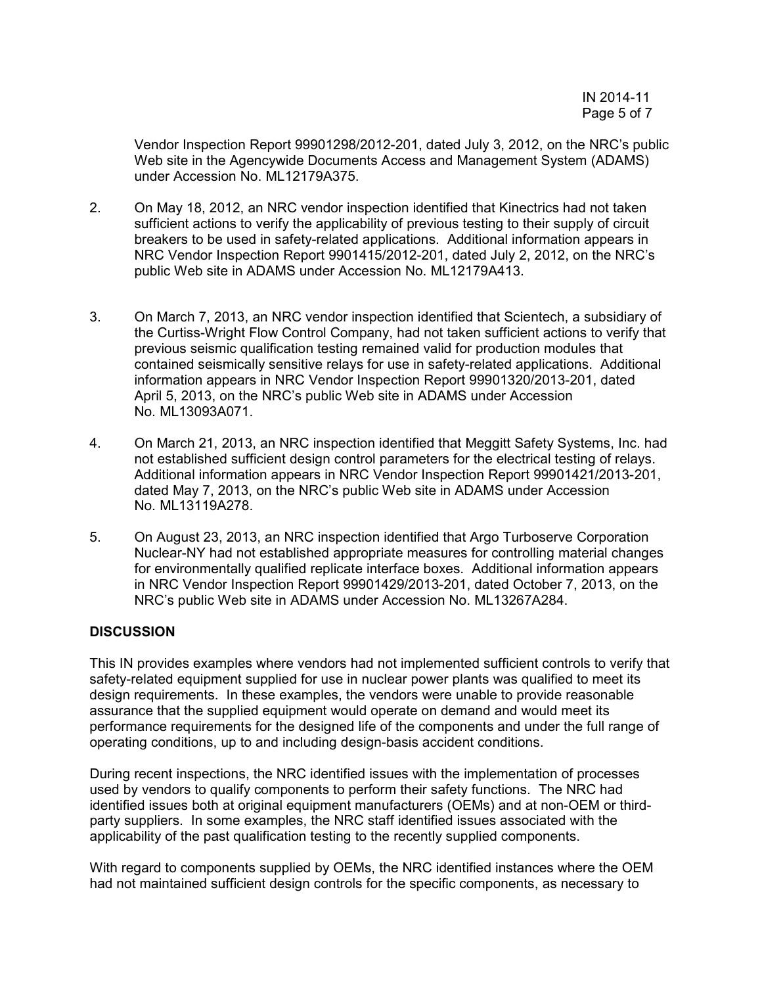Vendor Inspection Report 99901298/2012-201, dated July 3, 2012, on the NRC's public Web site in the Agencywide Documents Access and Management System (ADAMS) under Accession No. ML12179A375.

- 2. On May 18, 2012, an NRC vendor inspection identified that Kinectrics had not taken sufficient actions to verify the applicability of previous testing to their supply of circuit breakers to be used in safety-related applications. Additional information appears in NRC Vendor Inspection Report 9901415/2012-201, dated July 2, 2012, on the NRC's public Web site in ADAMS under Accession No. ML12179A413.
- 3. On March 7, 2013, an NRC vendor inspection identified that Scientech, a subsidiary of the Curtiss-Wright Flow Control Company, had not taken sufficient actions to verify that previous seismic qualification testing remained valid for production modules that contained seismically sensitive relays for use in safety-related applications. Additional information appears in NRC Vendor Inspection Report 99901320/2013-201, dated April 5, 2013, on the NRC's public Web site in ADAMS under Accession No. ML13093A071.
- 4. On March 21, 2013, an NRC inspection identified that Meggitt Safety Systems, Inc. had not established sufficient design control parameters for the electrical testing of relays. Additional information appears in NRC Vendor Inspection Report 99901421/2013-201, dated May 7, 2013, on the NRC's public Web site in ADAMS under Accession No. ML13119A278.
- 5. On August 23, 2013, an NRC inspection identified that Argo Turboserve Corporation Nuclear-NY had not established appropriate measures for controlling material changes for environmentally qualified replicate interface boxes. Additional information appears in NRC Vendor Inspection Report 99901429/2013-201, dated October 7, 2013, on the NRC's public Web site in ADAMS under Accession No. ML13267A284.

# **DISCUSSION**

This IN provides examples where vendors had not implemented sufficient controls to verify that safety-related equipment supplied for use in nuclear power plants was qualified to meet its design requirements. In these examples, the vendors were unable to provide reasonable assurance that the supplied equipment would operate on demand and would meet its performance requirements for the designed life of the components and under the full range of operating conditions, up to and including design-basis accident conditions.

During recent inspections, the NRC identified issues with the implementation of processes used by vendors to qualify components to perform their safety functions. The NRC had identified issues both at original equipment manufacturers (OEMs) and at non-OEM or thirdparty suppliers. In some examples, the NRC staff identified issues associated with the applicability of the past qualification testing to the recently supplied components.

With regard to components supplied by OEMs, the NRC identified instances where the OEM had not maintained sufficient design controls for the specific components, as necessary to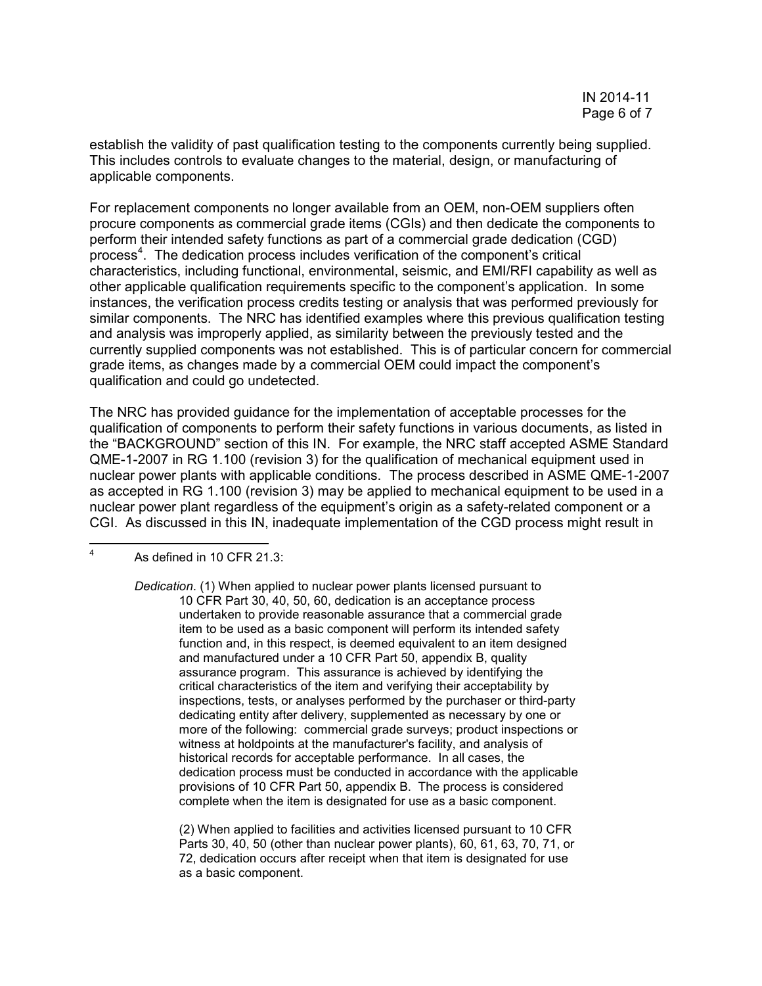establish the validity of past qualification testing to the components currently being supplied. This includes controls to evaluate changes to the material, design, or manufacturing of applicable components.

For replacement components no longer available from an OEM, non-OEM suppliers often procure components as commercial grade items (CGIs) and then dedicate the components to perform their intended safety functions as part of a commercial grade dedication (CGD) process<sup>[4](#page-5-0)</sup>. The dedication process includes verification of the component's critical characteristics, including functional, environmental, seismic, and EMI/RFI capability as well as other applicable qualification requirements specific to the component's application. In some instances, the verification process credits testing or analysis that was performed previously for similar components. The NRC has identified examples where this previous qualification testing and analysis was improperly applied, as similarity between the previously tested and the currently supplied components was not established. This is of particular concern for commercial grade items, as changes made by a commercial OEM could impact the component's qualification and could go undetected.

The NRC has provided guidance for the implementation of acceptable processes for the qualification of components to perform their safety functions in various documents, as listed in the "BACKGROUND" section of this IN. For example, the NRC staff accepted ASME Standard QME-1-2007 in RG 1.100 (revision 3) for the qualification of mechanical equipment used in nuclear power plants with applicable conditions. The process described in ASME QME-1-2007 as accepted in RG 1.100 (revision 3) may be applied to mechanical equipment to be used in a nuclear power plant regardless of the equipment's origin as a safety-related component or a CGI. As discussed in this IN, inadequate implementation of the CGD process might result in

<span id="page-5-0"></span>As defined in 10 CFR 21.3:

*Dedication*. (1) When applied to nuclear power plants licensed pursuant to 10 CFR Part 30, 40, 50, 60, dedication is an acceptance process undertaken to provide reasonable assurance that a commercial grade item to be used as a basic component will perform its intended safety function and, in this respect, is deemed equivalent to an item designed and manufactured under a 10 CFR Part 50, appendix B, quality assurance program. This assurance is achieved by identifying the critical characteristics of the item and verifying their acceptability by inspections, tests, or analyses performed by the purchaser or third-party dedicating entity after delivery, supplemented as necessary by one or more of the following: commercial grade surveys; product inspections or witness at holdpoints at the manufacturer's facility, and analysis of historical records for acceptable performance. In all cases, the dedication process must be conducted in accordance with the applicable provisions of 10 CFR Part 50, appendix B. The process is considered complete when the item is designated for use as a basic component.

(2) When applied to facilities and activities licensed pursuant to 10 CFR Parts 30, 40, 50 (other than nuclear power plants), 60, 61, 63, 70, 71, or 72, dedication occurs after receipt when that item is designated for use as a basic component.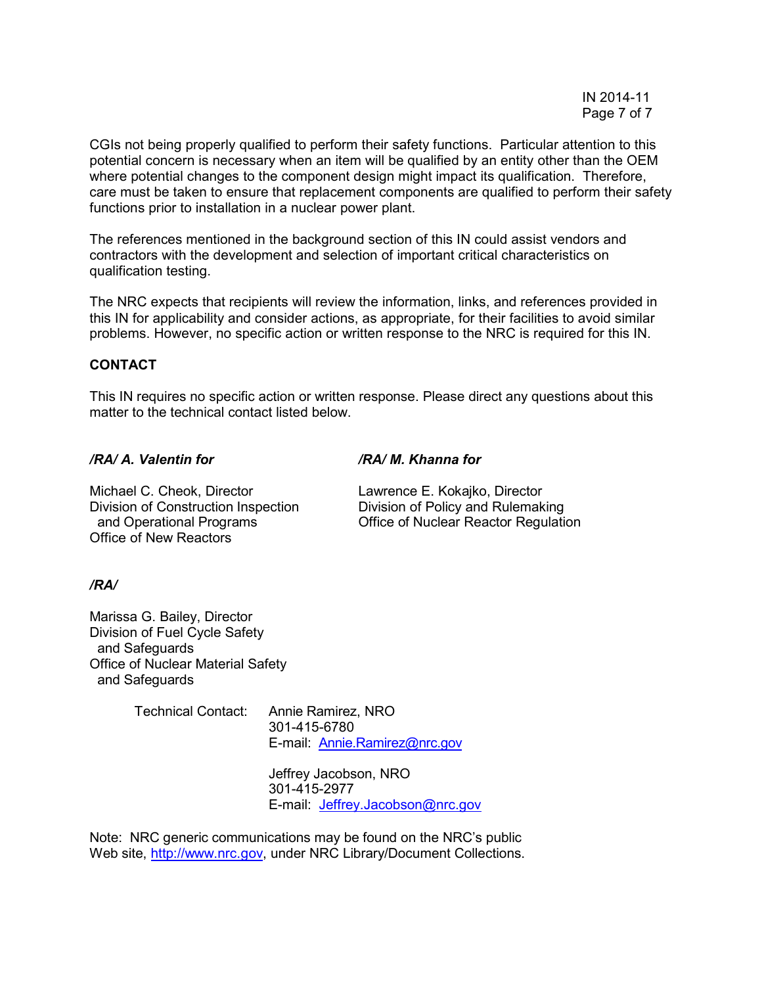CGIs not being properly qualified to perform their safety functions. Particular attention to this potential concern is necessary when an item will be qualified by an entity other than the OEM where potential changes to the component design might impact its qualification. Therefore, care must be taken to ensure that replacement components are qualified to perform their safety functions prior to installation in a nuclear power plant.

The references mentioned in the background section of this IN could assist vendors and contractors with the development and selection of important critical characteristics on qualification testing.

The NRC expects that recipients will review the information, links, and references provided in this IN for applicability and consider actions, as appropriate, for their facilities to avoid similar problems. However, no specific action or written response to the NRC is required for this IN.

## **CONTACT**

This IN requires no specific action or written response. Please direct any questions about this matter to the technical contact listed below.

*/RA/ A. Valentin for /RA/ M. Khanna for*

Michael C. Cheok, Director **Lawrence E. Kokajko, Director** Division of Construction Inspection Division of Policy and Rulemaking Office of New Reactors

and Operational Programs Office of Nuclear Reactor Regulation

# */RA/*

Marissa G. Bailey, Director Division of Fuel Cycle Safety and Safeguards Office of Nuclear Material Safety and Safeguards

> Technical Contact: Annie Ramirez, NRO 301-415-6780 E-mail: [Annie.Ramirez@nrc.gov](mailto:Annie.Ramirez@nrc.gov)

> > Jeffrey Jacobson, NRO 301-415-2977 E-mail: [Jeffrey.Jacobson@nrc.gov](mailto:Jeffrey.Jacobson@nrc.gov)

Note: NRC generic communications may be found on the NRC's public Web site, [http://www.nrc.gov,](http://www.nrc.gov/) under NRC Library/Document Collections.